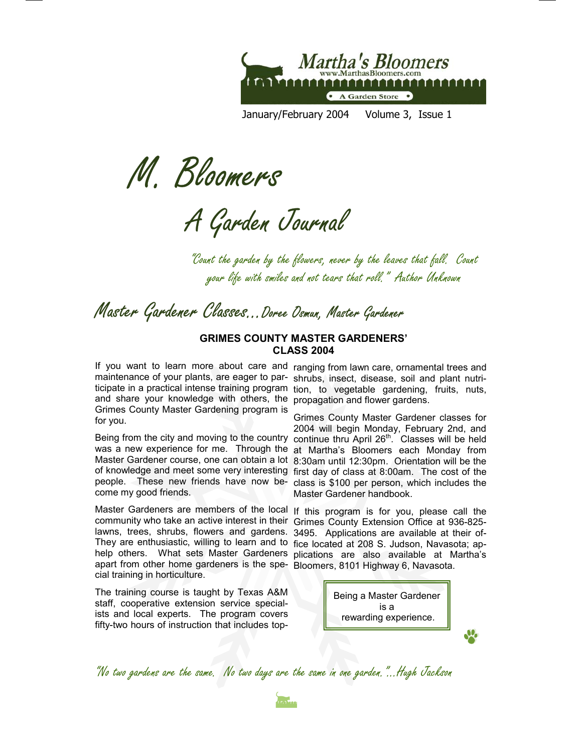

January/February 2004 Volume 3, Issue 1

M. Bloomers

A Garden Journal

"Count the garden by the flowers, never by the leaves that fall. Count your life with smiles and not tears that roll." Author Unknown

Master Gardener Classes...Doree Osmun, Master Gardener

#### **GRIMES COUNTY MASTER GARDENERS' CLASS 2004**

and share your knowledge with others, the propagation and flower gardens. Grimes County Master Gardening program is for you.

come my good friends.

Master Gardeners are members of the local If this program is for you, please call the community who take an active interest in their Grimes County Extension Office at 936-825lawns, trees, shrubs, flowers and gardens. 3495. Applications are available at their of-They are enthusiastic, willing to learn and to fice located at 208 S. Judson, Navasota; apapart from other home gardeners is the spe- Bloomers, 8101 Highway 6, Navasota. cial training in horticulture.

The training course is taught by Texas A&M staff, cooperative extension service specialists and local experts. The program covers fifty-two hours of instruction that includes top-

If you want to learn more about care and ranging from lawn care, ornamental trees and maintenance of your plants, are eager to par- shrubs, insect, disease, soil and plant nutriticipate in a practical intense training program tion, to vegetable gardening, fruits, nuts,

Grimes County Master Gardener classes for 2004 will begin Monday, February 2nd, and Being from the city and moving to the country continue thru April  $26<sup>th</sup>$ . Classes will be held was a new experience for me. Through the at Martha's Bloomers each Monday from Master Gardener course, one can obtain a lot 8:30am until 12:30pm. Orientation will be the of knowledge and meet some very interesting first day of class at 8:00am. The cost of the people. These new friends have now be- class is \$100 per person, which includes the Master Gardener handbook.

help others. What sets Master Gardeners plications are also available at Martha's



J.

"No two gardens are the same. No two days are the same in one garden."...Hugh Jackson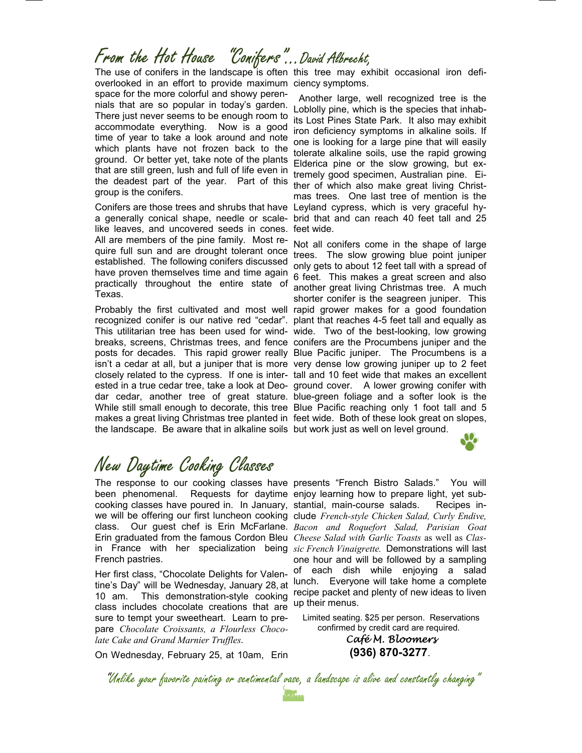## From the Hot House "Conifers"...David Albrecht,

overlooked in an effort to provide maximum ciency symptoms. space for the more colorful and showy perennials that are so popular in today's garden. There just never seems to be enough room to accommodate everything. Now is a good time of year to take a look around and note which plants have not frozen back to the ground. Or better yet, take note of the plants that are still green, lush and full of life even in the deadest part of the year. Part of this group is the conifers.

a generally conical shape, needle or scale- brid that and can reach 40 feet tall and 25 like leaves, and uncovered seeds in cones. All are members of the pine family. Most require full sun and are drought tolerant once established. The following conifers discussed have proven themselves time and time again practically throughout the entire state of Texas.

Probably the first cultivated and most well rapid grower makes for a good foundation recognized conifer is our native red "cedar". plant that reaches 4-5 feet tall and equally as This utilitarian tree has been used for wind- wide. Two of the best-looking, low growing breaks, screens, Christmas trees, and fence conifers are the Procumbens juniper and the posts for decades. This rapid grower really Blue Pacific juniper. The Procumbens is a isn't a cedar at all, but a juniper that is more very dense low growing juniper up to 2 feet closely related to the cypress. If one is inter- tall and 10 feet wide that makes an excellent ested in a true cedar tree, take a look at Deo- ground cover. A lower growing conifer with dar cedar, another tree of great stature. blue-green foliage and a softer look is the While still small enough to decorate, this tree Blue Pacific reaching only 1 foot tall and 5 makes a great living Christmas tree planted in feet wide. Both of these look great on slopes, the landscape. Be aware that in alkaline soils but work just as well on level ground.

The use of conifers in the landscape is often this tree may exhibit occasional iron defi-

 Another large, well recognized tree is the Loblolly pine, which is the species that inhabits Lost Pines State Park. It also may exhibit iron deficiency symptoms in alkaline soils. If one is looking for a large pine that will easily tolerate alkaline soils, use the rapid growing Elderica pine or the slow growing, but extremely good specimen, Australian pine. Either of which also make great living Christmas trees. One last tree of mention is the Conifers are those trees and shrubs that have Leyland cypress, which is very graceful hyfeet wide.

> Not all conifers come in the shape of large trees. The slow growing blue point juniper only gets to about 12 feet tall with a spread of 6 feet. This makes a great screen and also another great living Christmas tree. A much shorter conifer is the seagreen juniper. This

## New Daytime Cooking Classes

The response to our cooking classes have presents "French Bistro Salads." You will been phenomenal. Requests for daytime enjoy learning how to prepare light, yet subcooking classes have poured in. In January, stantial, main-course salads. Recipes inwe will be offering our first luncheon cooking clude *French-style Chicken Salad, Curly Endive*, class. Our guest chef is Erin McFarlane. *Bacon and Roquefort Salad, Parisian Goat*  Erin graduated from the famous Cordon Bleu *Cheese Salad with Garlic Toasts* as well as *Clas*in France with her specialization being *sic French Vinaigrette.* Demonstrations will last French pastries.

Her first class, "Chocolate Delights for Valentine's Day" will be Wednesday, January 28, at 10 am. This demonstration-style cooking class includes chocolate creations that are sure to tempt your sweetheart. Learn to prepare *Chocolate Croissants, a Flourless Chocolate Cake and Grand Marnier Truffles.* 

On Wednesday, February 25, at 10am, Erin

one hour and will be followed by a sampling of each dish while enjoying a salad lunch. Everyone will take home a complete recipe packet and plenty of new ideas to liven up their menus.

 Limited seating. \$25 per person. Reservations confirmed by credit card are required.

> *Café M. Bloomers*  **(936) 870-3277**.

"Unlike your favorite painting or sentimental vase, a landscape is alive and constantly changing"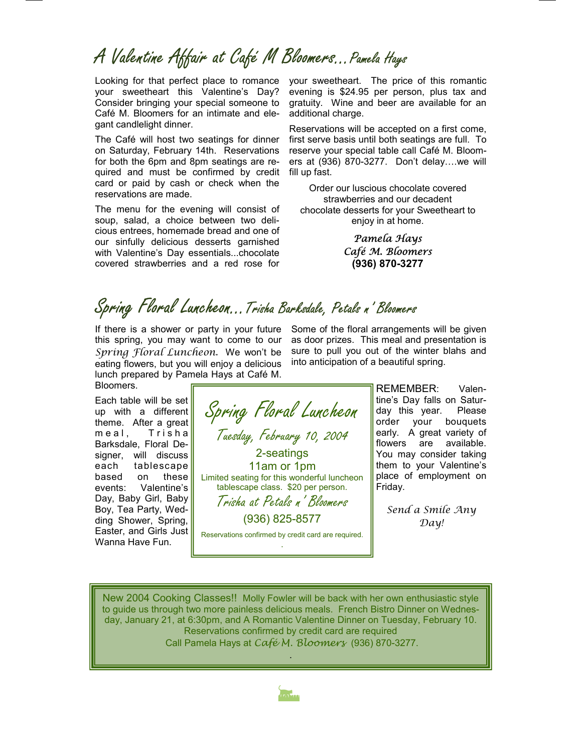## A Valentine Affair at Café M Bloomers…Pamela Hays

Looking for that perfect place to romance your sweetheart this Valentine's Day? Consider bringing your special someone to Café M. Bloomers for an intimate and elegant candlelight dinner.

The Café will host two seatings for dinner on Saturday, February 14th. Reservations for both the 6pm and 8pm seatings are required and must be confirmed by credit card or paid by cash or check when the reservations are made.

The menu for the evening will consist of soup, salad, a choice between two delicious entrees, homemade bread and one of our sinfully delicious desserts garnished with Valentine's Day essentials...chocolate covered strawberries and a red rose for

your sweetheart. The price of this romantic evening is \$24.95 per person, plus tax and gratuity. Wine and beer are available for an additional charge.

Reservations will be accepted on a first come, first serve basis until both seatings are full. To reserve your special table call Café M. Bloomers at (936) 870-3277. Don't delay….we will fill up fast.

Order our luscious chocolate covered strawberries and our decadent chocolate desserts for your Sweetheart to enjoy in at home.

> *Pamela Hays Café M. Bloomers*  **(936) 870-3277**

# Spring Floral Luncheon…Trisha Barksdale, Petals n' Bloomers

If there is a shower or party in your future this spring, you may want to come to our *Spring Floral Luncheon.* We won't be eating flowers, but you will enjoy a delicious lunch prepared by Pamela Hays at Café M. Bloomers.

Each table will be set up with a different theme. After a great m e a l, Trisha Barksdale, Floral Designer, will discuss each tablescape based on these events: Valentine's Day, Baby Girl, Baby Boy, Tea Party, Wedding Shower, Spring, Easter, and Girls Just Wanna Have Fun.



Some of the floral arrangements will be given as door prizes. This meal and presentation is sure to pull you out of the winter blahs and into anticipation of a beautiful spring.

> REMEMBER: Valentine's Day falls on Saturday this year. Please order your bouquets early. A great variety of flowers are available. You may consider taking them to your Valentine's place of employment on Friday.

*Send a Smile Any Day!* 

New 2004 Cooking Classes!! Molly Fowler will be back with her own enthusiastic style to guide us through two more painless delicious meals. French Bistro Dinner on Wednesday, January 21, at 6:30pm, and A Romantic Valentine Dinner on Tuesday, February 10. Reservations confirmed by credit card are required Call Pamela Hays at *Café M. Bloomers* (936) 870-3277.

.

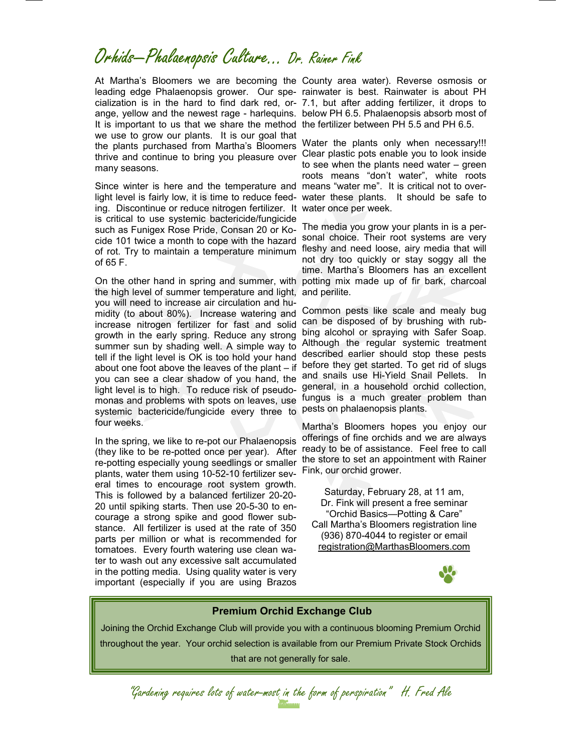## Orhids—Phalaenopsis Culture… Dr. Rainer Fink

At Martha's Bloomers we are becoming the County area water). Reverse osmosis or leading edge Phalaenopsis grower. Our spe-rainwater is best. Rainwater is about PH cialization is in the hard to find dark red, or-7.1, but after adding fertilizer, it drops to ange, yellow and the newest rage - harlequins. below PH 6.5. Phalaenopsis absorb most of It is important to us that we share the method the fertilizer between PH 5.5 and PH 6.5. we use to grow our plants. It is our goal that the plants purchased from Martha's Bloomers thrive and continue to bring you pleasure over many seasons.

light level is fairly low, it is time to reduce feeding. Discontinue or reduce nitrogen fertilizer. It is critical to use systemic bactericide/fungicide such as Funigex Rose Pride, Consan 20 or Kocide 101 twice a month to cope with the hazard of rot. Try to maintain a temperature minimum of 65 F.

On the other hand in spring and summer, with the high level of summer temperature and light, you will need to increase air circulation and humidity (to about 80%). Increase watering and increase nitrogen fertilizer for fast and solid growth in the early spring. Reduce any strong summer sun by shading well. A simple way to tell if the light level is OK is too hold your hand about one foot above the leaves of the plant – if you can see a clear shadow of you hand, the light level is to high. To reduce risk of pseudomonas and problems with spots on leaves, use systemic bactericide/fungicide every three to four weeks.

In the spring, we like to re-pot our Phalaenopsis (they like to be re-potted once per year). After re-potting especially young seedlings or smaller plants, water them using 10-52-10 fertilizer several times to encourage root system growth. This is followed by a balanced fertilizer 20-20- 20 until spiking starts. Then use 20-5-30 to encourage a strong spike and good flower substance. All fertilizer is used at the rate of 350 parts per million or what is recommended for tomatoes. Every fourth watering use clean water to wash out any excessive salt accumulated in the potting media. Using quality water is very important (especially if you are using Brazos

Since winter is here and the temperature and means "water me". It is critical not to over-Water the plants only when necessary!!! Clear plastic pots enable you to look inside to see when the plants need water – green roots means "don't water", white roots water these plants. It should be safe to water once per week.

> The media you grow your plants in is a personal choice. Their root systems are very fleshy and need loose, airy media that will not dry too quickly or stay soggy all the time. Martha's Bloomers has an excellent potting mix made up of fir bark, charcoal and perilite.

> Common pests like scale and mealy bug can be disposed of by brushing with rubbing alcohol or spraying with Safer Soap. Although the regular systemic treatment described earlier should stop these pests before they get started. To get rid of slugs and snails use Hi-Yield Snail Pellets. In general, in a household orchid collection, fungus is a much greater problem than pests on phalaenopsis plants.

> Martha's Bloomers hopes you enjoy our offerings of fine orchids and we are always ready to be of assistance. Feel free to call the store to set an appointment with Rainer Fink, our orchid grower.

Saturday, February 28, at 11 am, Dr. Fink will present a free seminar "Orchid Basics—Potting & Care" Call Martha's Bloomers registration line (936) 870-4044 to register or email registration@MarthasBloomers.com



#### **Premium Orchid Exchange Club**

Joining the Orchid Exchange Club will provide you with a continuous blooming Premium Orchid throughout the year. Your orchid selection is available from our Premium Private Stock Orchids that are not generally for sale.

"Gardening requires lots of water-most in the form of perspiration" H. Fred Ale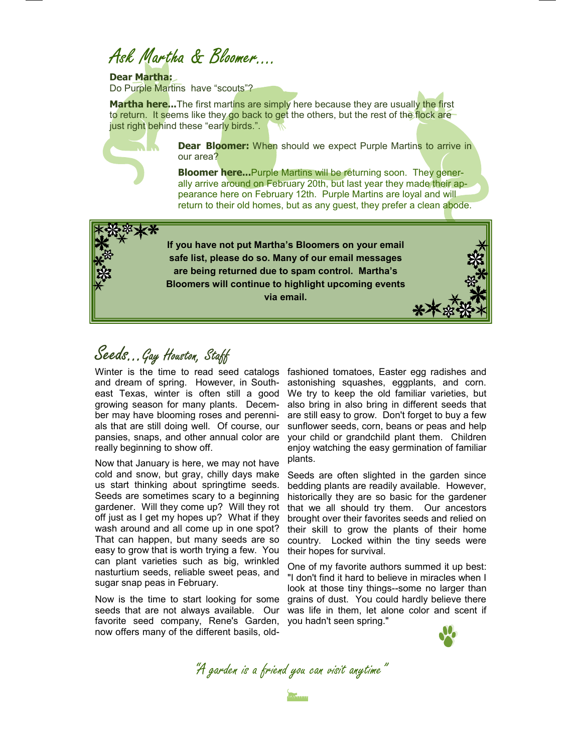Ask Martha & Bloomer….

**Dear Martha:** 

Do Purple Martins have "scouts"?

Martha here...The first martins are simply here because they are usually the first to return. It seems like they go back to get the others, but the rest of the flock are just right behind these "early birds.".



**Dear Bloomer:** When should we expect Purple Martins to arrive in our area?

**Bloomer here...**Purple Martins will be returning soon. They generally arrive around on February 20th, but last year they made their appearance here on February 12th. Purple Martins are loyal and will return to their old homes, but as any guest, they prefer a clean abode.

**If you have not put Martha's Bloomers on your email safe list, please do so. Many of our email messages are being returned due to spam control. Martha's Bloomers will continue to highlight upcoming events via email.** 

Seeds...Gay Houston, Staff

and dream of spring. However, in Southeast Texas, winter is often still a good growing season for many plants. December may have blooming roses and perennials that are still doing well. Of course, our pansies, snaps, and other annual color are really beginning to show off.

Now that January is here, we may not have cold and snow, but gray, chilly days make us start thinking about springtime seeds. Seeds are sometimes scary to a beginning gardener. Will they come up? Will they rot off just as I get my hopes up? What if they wash around and all come up in one spot? That can happen, but many seeds are so easy to grow that is worth trying a few. You can plant varieties such as big, wrinkled nasturtium seeds, reliable sweet peas, and sugar snap peas in February.

Now is the time to start looking for some seeds that are not always available. Our favorite seed company, Rene's Garden, now offers many of the different basils, old-

Winter is the time to read seed catalogs fashioned tomatoes, Easter egg radishes and astonishing squashes, eggplants, and corn. We try to keep the old familiar varieties, but also bring in also bring in different seeds that are still easy to grow. Don't forget to buy a few sunflower seeds, corn, beans or peas and help your child or grandchild plant them. Children enjoy watching the easy germination of familiar plants.

> Seeds are often slighted in the garden since bedding plants are readily available. However, historically they are so basic for the gardener that we all should try them. Our ancestors brought over their favorites seeds and relied on their skill to grow the plants of their home country. Locked within the tiny seeds were their hopes for survival.

> One of my favorite authors summed it up best: "I don't find it hard to believe in miracles when I look at those tiny things--some no larger than grains of dust. You could hardly believe there was life in them, let alone color and scent if you hadn't seen spring."



"A garden is a friend you can visit anytime"